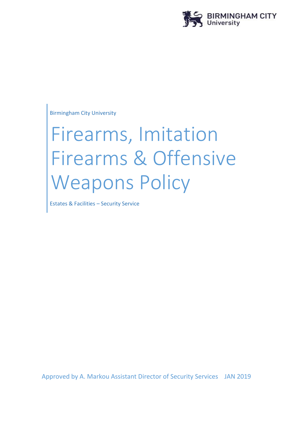

Birmingham City University

# Firearms, Imitation Firearms & Offensive Weapons Policy

Estates & Facilities – Security Service

Approved by A. Markou Assistant Director of Security Services JAN 2019